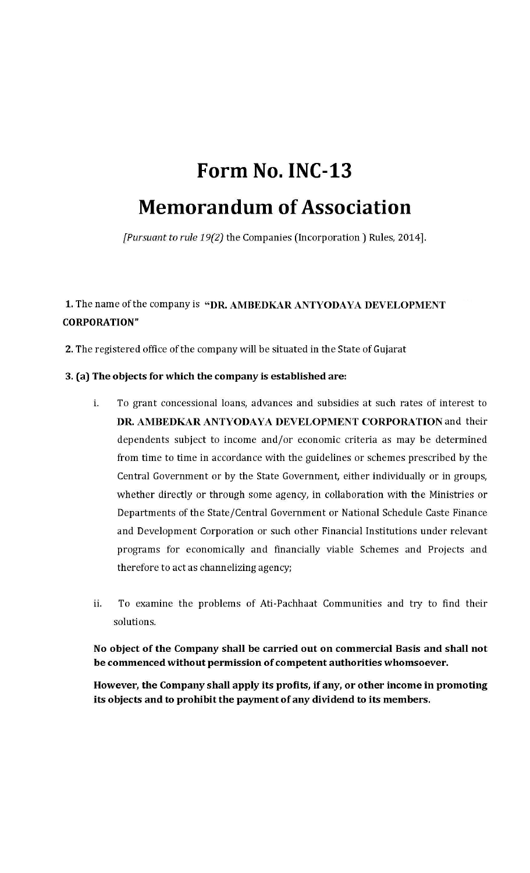# Form No. INC-13

## **Memorandum of Association**

[Pursuant to rule 19(2) the Companies (Incorporation) Rules, 2014].

### 1. The name of the company is "DR. AMBEDKAR ANTYODAYA DEVELOPMENT **CORPORATION"**

2. The registered office of the company will be situated in the State of Gujarat

#### 3. (a) The objects for which the company is established are:

- To grant concessional loans, advances and subsidies at such rates of interest to Ť. DR. AMBEDKAR ANTYODAYA DEVELOPMENT CORPORATION and their dependents subject to income and/or economic criteria as may be determined from time to time in accordance with the guidelines or schemes prescribed by the Central Government or by the State Government, either individually or in groups, whether directly or through some agency, in collaboration with the Ministries or Departments of the State/Central Government or National Schedule Caste Finance and Development Corporation or such other Financial Institutions under relevant programs for economically and financially viable Schemes and Projects and therefore to act as channelizing agency;
- ii. To examine the problems of Ati-Pachhaat Communities and try to find their solutions.

No object of the Company shall be carried out on commercial Basis and shall not be commenced without permission of competent authorities whomsoever.

However, the Company shall apply its profits, if any, or other income in promoting its objects and to prohibit the payment of any dividend to its members.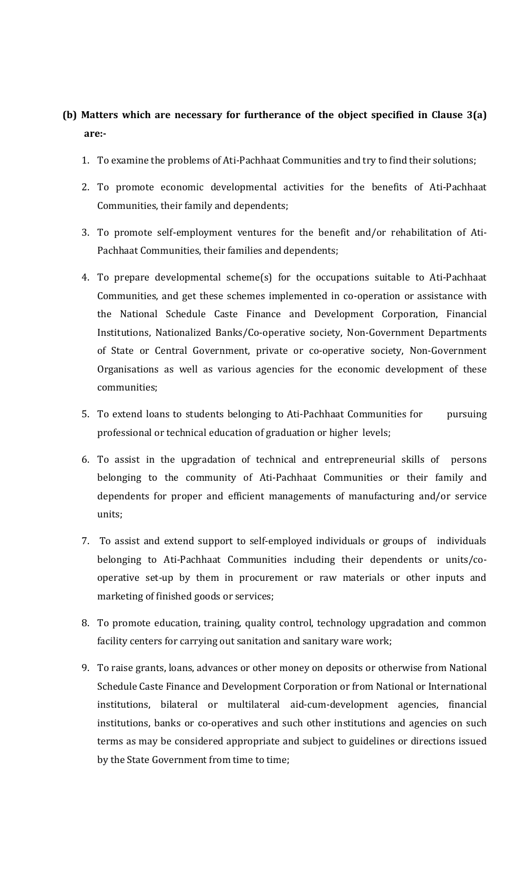#### **(b) Matters which are necessary for furtherance of the object specified in Clause 3(a) are:-**

- 1. To examine the problems of Ati-Pachhaat Communities and try to find their solutions;
- 2. To promote economic developmental activities for the benefits of Ati-Pachhaat Communities, their family and dependents;
- 3. To promote self-employment ventures for the benefit and/or rehabilitation of Ati-Pachhaat Communities, their families and dependents;
- 4. To prepare developmental scheme(s) for the occupations suitable to Ati-Pachhaat Communities, and get these schemes implemented in co-operation or assistance with the National Schedule Caste Finance and Development Corporation, Financial Institutions, Nationalized Banks/Co-operative society, Non-Government Departments of State or Central Government, private or co-operative society, Non-Government Organisations as well as various agencies for the economic development of these communities;
- 5. To extend loans to students belonging to Ati-Pachhaat Communities for pursuing professional or technical education of graduation or higher levels;
- 6. To assist in the upgradation of technical and entrepreneurial skills of persons belonging to the community of Ati-Pachhaat Communities or their family and dependents for proper and efficient managements of manufacturing and/or service units;
- 7. To assist and extend support to self-employed individuals or groups of individuals belonging to Ati-Pachhaat Communities including their dependents or units/cooperative set-up by them in procurement or raw materials or other inputs and marketing of finished goods or services;
- 8. To promote education, training, quality control, technology upgradation and common facility centers for carrying out sanitation and sanitary ware work;
- 9. To raise grants, loans, advances or other money on deposits or otherwise from National Schedule Caste Finance and Development Corporation or from National or International institutions, bilateral or multilateral aid-cum-development agencies, financial institutions, banks or co-operatives and such other institutions and agencies on such terms as may be considered appropriate and subject to guidelines or directions issued by the State Government from time to time;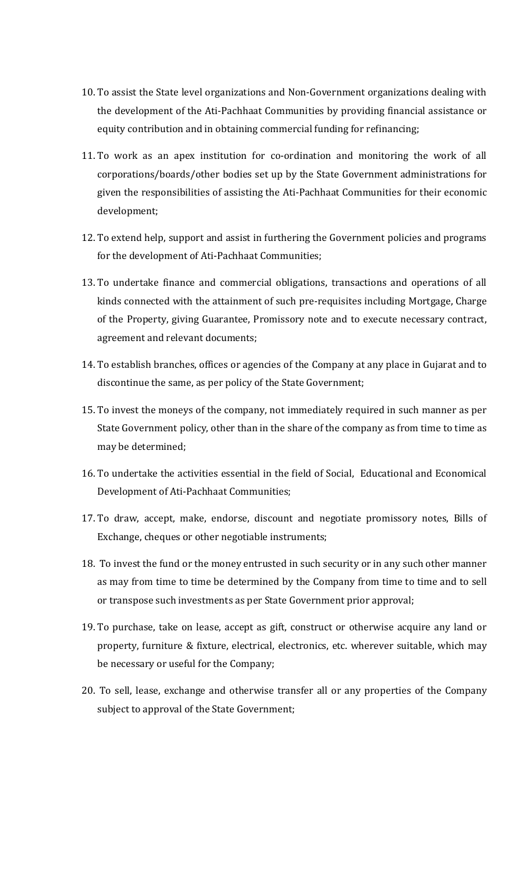- 10. To assist the State level organizations and Non-Government organizations dealing with the development of the Ati-Pachhaat Communities by providing financial assistance or equity contribution and in obtaining commercial funding for refinancing;
- 11. To work as an apex institution for co-ordination and monitoring the work of all corporations/boards/other bodies set up by the State Government administrations for given the responsibilities of assisting the Ati-Pachhaat Communities for their economic development;
- 12. To extend help, support and assist in furthering the Government policies and programs for the development of Ati-Pachhaat Communities;
- 13. To undertake finance and commercial obligations, transactions and operations of all kinds connected with the attainment of such pre-requisites including Mortgage, Charge of the Property, giving Guarantee, Promissory note and to execute necessary contract, agreement and relevant documents;
- 14. To establish branches, offices or agencies of the Company at any place in Gujarat and to discontinue the same, as per policy of the State Government;
- 15. To invest the moneys of the company, not immediately required in such manner as per State Government policy, other than in the share of the company as from time to time as may be determined;
- 16. To undertake the activities essential in the field of Social, Educational and Economical Development of Ati-Pachhaat Communities;
- 17. To draw, accept, make, endorse, discount and negotiate promissory notes, Bills of Exchange, cheques or other negotiable instruments;
- 18. To invest the fund or the money entrusted in such security or in any such other manner as may from time to time be determined by the Company from time to time and to sell or transpose such investments as per State Government prior approval;
- 19. To purchase, take on lease, accept as gift, construct or otherwise acquire any land or property, furniture & fixture, electrical, electronics, etc. wherever suitable, which may be necessary or useful for the Company;
- 20. To sell, lease, exchange and otherwise transfer all or any properties of the Company subject to approval of the State Government;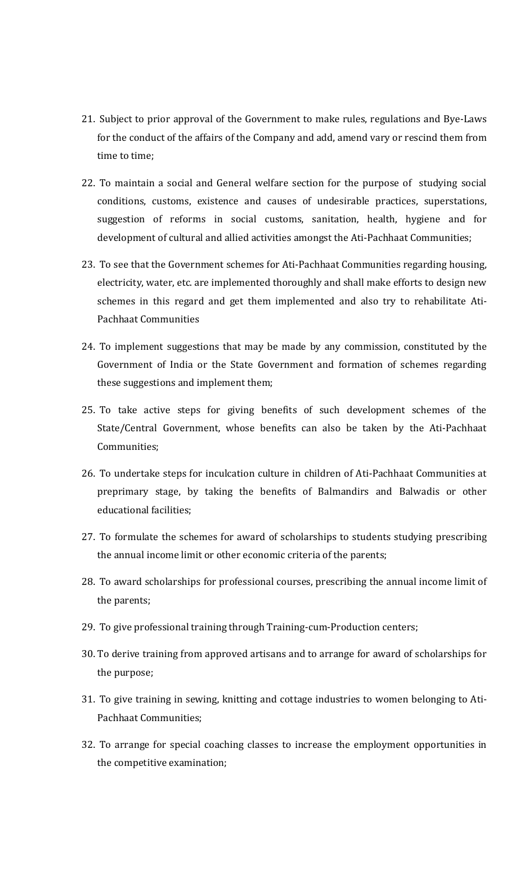- 21. Subject to prior approval of the Government to make rules, regulations and Bye-Laws for the conduct of the affairs of the Company and add, amend vary or rescind them from time to time;
- 22. To maintain a social and General welfare section for the purpose of studying social conditions, customs, existence and causes of undesirable practices, superstations, suggestion of reforms in social customs, sanitation, health, hygiene and for development of cultural and allied activities amongst the Ati-Pachhaat Communities;
- 23. To see that the Government schemes for Ati-Pachhaat Communities regarding housing, electricity, water, etc. are implemented thoroughly and shall make efforts to design new schemes in this regard and get them implemented and also try to rehabilitate Ati-Pachhaat Communities
- 24. To implement suggestions that may be made by any commission, constituted by the Government of India or the State Government and formation of schemes regarding these suggestions and implement them;
- 25. To take active steps for giving benefits of such development schemes of the State/Central Government, whose benefits can also be taken by the Ati-Pachhaat Communities;
- 26. To undertake steps for inculcation culture in children of Ati-Pachhaat Communities at preprimary stage, by taking the benefits of Balmandirs and Balwadis or other educational facilities;
- 27. To formulate the schemes for award of scholarships to students studying prescribing the annual income limit or other economic criteria of the parents;
- 28. To award scholarships for professional courses, prescribing the annual income limit of the parents;
- 29. To give professional training through Training-cum-Production centers;
- 30. To derive training from approved artisans and to arrange for award of scholarships for the purpose;
- 31. To give training in sewing, knitting and cottage industries to women belonging to Ati-Pachhaat Communities;
- 32. To arrange for special coaching classes to increase the employment opportunities in the competitive examination;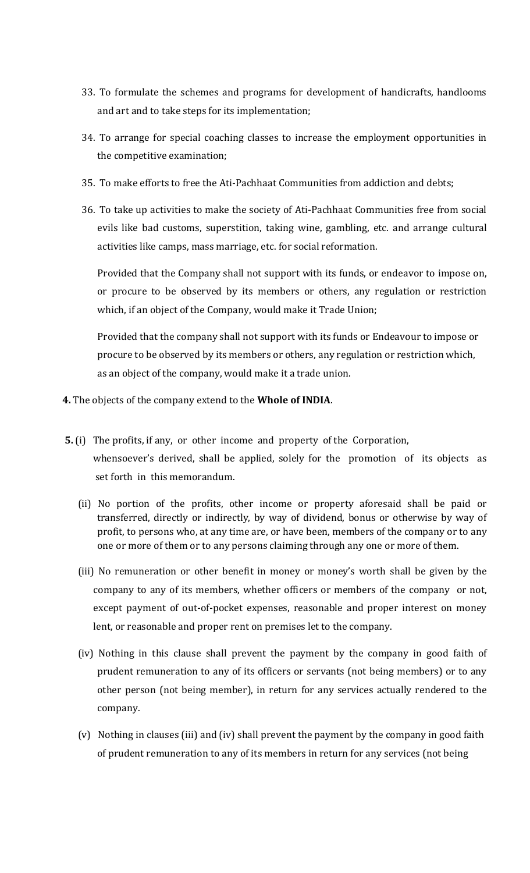- 33. To formulate the schemes and programs for development of handicrafts, handlooms and art and to take steps for its implementation;
- 34. To arrange for special coaching classes to increase the employment opportunities in the competitive examination;
- 35. To make efforts to free the Ati-Pachhaat Communities from addiction and debts;
- 36. To take up activities to make the society of Ati-Pachhaat Communities free from social evils like bad customs, superstition, taking wine, gambling, etc. and arrange cultural activities like camps, mass marriage, etc. for social reformation.

Provided that the Company shall not support with its funds, or endeavor to impose on, or procure to be observed by its members or others, any regulation or restriction which, if an object of the Company, would make it Trade Union;

Provided that the company shall not support with its funds or Endeavour to impose or procure to be observed by its members or others, any regulation or restriction which, as an object of the company, would make it a trade union.

- **4.** The objects of the company extend to the **Whole of INDIA**.
- **5.** (i) The profits, if any, or other income and property of the Corporation, whensoever's derived, shall be applied, solely for the promotion of its objects as set forth in this memorandum.
	- (ii) No portion of the profits, other income or property aforesaid shall be paid or transferred, directly or indirectly, by way of dividend, bonus or otherwise by way of profit, to persons who, at any time are, or have been, members of the company or to any one or more of them or to any persons claiming through any one or more of them.
	- (iii) No remuneration or other benefit in money or money's worth shall be given by the company to any of its members, whether officers or members of the company or not, except payment of out-of-pocket expenses, reasonable and proper interest on money lent, or reasonable and proper rent on premises let to the company.
	- (iv) Nothing in this clause shall prevent the payment by the company in good faith of prudent remuneration to any of its officers or servants (not being members) or to any other person (not being member), in return for any services actually rendered to the company.
	- (v) Nothing in clauses (iii) and (iv) shall prevent the payment by the company in good faith of prudent remuneration to any of its members in return for any services (not being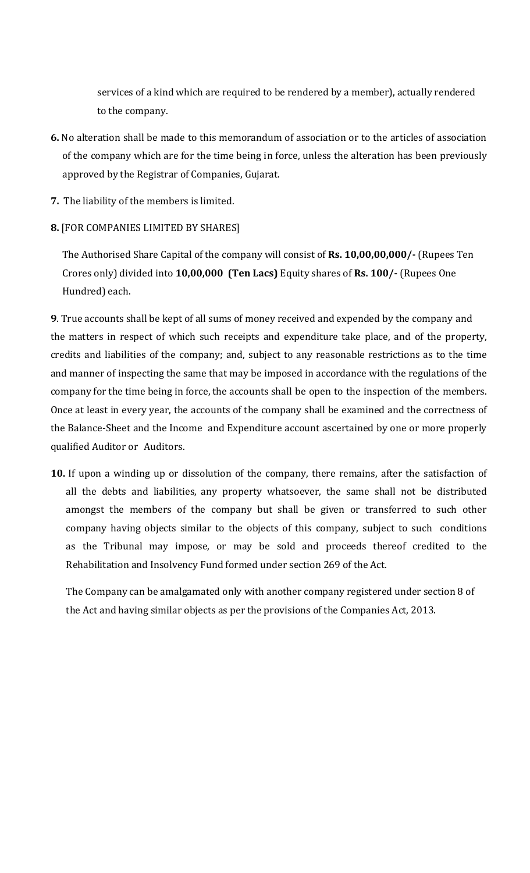services of a kind which are required to be rendered by a member), actually rendered to the company.

- **6.** No alteration shall be made to this memorandum of association or to the articles of association of the company which are for the time being in force, unless the alteration has been previously approved by the Registrar of Companies, Gujarat.
- **7.** The liability of the members is limited.
- **8.** [FOR COMPANIES LIMITED BY SHARES]

The Authorised Share Capital of the company will consist of **Rs. 10,00,00,000/-** (Rupees Ten Crores only) divided into **10,00,000 (Ten Lacs)** Equity shares of **Rs. 100/-** (Rupees One Hundred) each.

**9**. True accounts shall be kept of all sums of money received and expended by the company and the matters in respect of which such receipts and expenditure take place, and of the property, credits and liabilities of the company; and, subject to any reasonable restrictions as to the time and manner of inspecting the same that may be imposed in accordance with the regulations of the company for the time being in force, the accounts shall be open to the inspection of the members. Once at least in every year, the accounts of the company shall be examined and the correctness of the Balance-Sheet and the Income and Expenditure account ascertained by one or more properly qualified Auditor or Auditors.

**10.** If upon a winding up or dissolution of the company, there remains, after the satisfaction of all the debts and liabilities, any property whatsoever, the same shall not be distributed amongst the members of the company but shall be given or transferred to such other company having objects similar to the objects of this company, subject to such conditions as the Tribunal may impose, or may be sold and proceeds thereof credited to the Rehabilitation and Insolvency Fund formed under section 269 of the Act.

The Company can be amalgamated only with another company registered under section 8 of the Act and having similar objects as per the provisions of the Companies Act, 2013.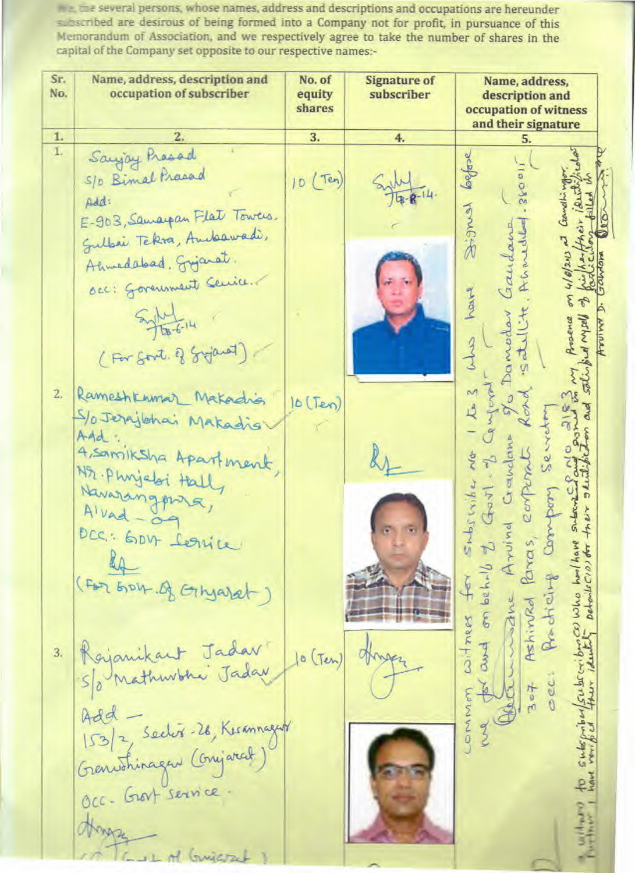the the several persons, whose names, address and descriptions and occupations are hereunder subscribed are desirous of being formed into a Company not for profit, in pursuance of this Memorandum of Association, and we respectively agree to take the number of shares in the capital of the Company set opposite to our respective names:-

Sr. Name, address, description and No. of **Signature of** Name, address. No. occupation of subscriber equity subscriber description and shares occupation of witness and their signature 1. 3. 4. 5. Saying Presad 1. before S/D Bimal Prasad 10 (Ten) Add: あるんか E-903, Samarpan Flat Towers. Gaudana Sullai Tekra, Andeawadi, Ahmedebad, Grijanat. occ: Government Cenice. haste rancedar  $544$ Arosence salisped Maple  $3 - 3$ (For Sort. of Gyjanot) 2. Rameshkumar Makadia  $10(Ten)$ S/o Jerajlohai Makadis serveto Add:<br>4, samiksha Apartment, Govt - 2 G<br>d Grandome<br>eorperat Nr. Phrijeloi Hall Details (10) for treix studio Shosarber Navarangpara, to subspriber/subscributes who harlhove subscribes  $\vec{G}$ Compon Arvina Dec: Gov forice Ashinkd Paras, and on behilf to Redicing (For GOV. of Ginyarat) witness for wwwdne Rajanikant Jadar  $3.$  $10$  (Ten) OH S/o Mathwhai Jaday  $7000$  $\check{\mathbf{e}}$ COMMO Add 153/2 Sector-26, Kummagent Occ-Grost Service. Hongs GUL of Guiaret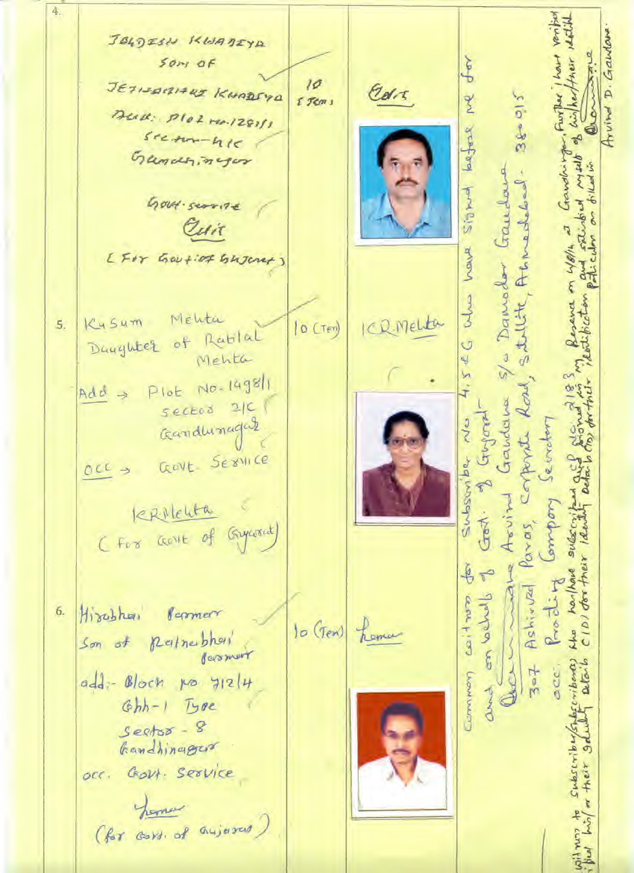4. D. Gaulove JOLDESN KWADIYA  $50<sub>7</sub>$  of ٩ JETISARIARS KHAREYA  $10<sup>2</sup>$ Cars z  $38 - 015$ Further  $55cm$ Deall: Plot rea. 1281/1 Arvino 3 laegrese  $s$ ream-hie **Po** tandhirth Gandhinger ars hu S/a Damodor Gaudove Acnoched. **There** Gout-scorite Cuit have you on work [For Gov+iof Gujerer)  $\frac{3}{5}$ SANLIK Mehta Kysum ICR Melta 5.  $|0$  (Ter) Daughter of Rablal  $4, 54C$ Mehta Plot No. 1498/1 corporate Road  $Add \rightarrow$ Gandana sector 2/C Jugoral Gandhinagas Subsoniba No envotor GOVE SEXVILLE  $OCC \rightarrow$ Arvin omport terrichten Gest. Paras, harthand subscript (For come of Gypsout) CIDI dor their iden adve  $\frac{1}{2}$  $\tilde{\theta}$ Prodit Ashirval والمساءم مح court hiss Hirobhai 6. Persmer hema  $10$  (Ten) MAD Queria Son of Reinerbhoi Bermert  $ribound)$  $Q(\overline{a}, b)$ acc.  $z = 7$ Conversion add: Block no y12/4 Joseph Ghh-1 Type  $S$ eets $x - 8$ Gandhinager HREAF occ. Govt. Service hemos (for cort, of anjured)